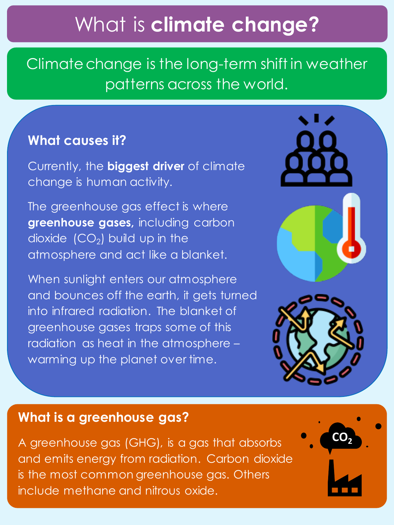## What is **climate change?**

Climate change is the long-term shift in weather patterns across the world.

#### **What causes it?**

Currently, the **biggest driver** of climate change is human activity.

The greenhouse gas effect is where **greenhouse gases,** including carbon dioxide  $(CO_2)$  build up in the atmosphere and act like a blanket.

When sunlight enters our atmosphere and bounces off the earth, it gets turned into infrared radiation. The blanket of greenhouse gases traps some of this radiation as heat in the atmosphere – warming up the planet over time.





#### **What is a greenhouse gas?**

A greenhouse gas (GHG), is a gas that absorbs and emits energy from radiation. Carbon dioxide is the most common greenhouse gas. Others include methane and nitrous oxide.

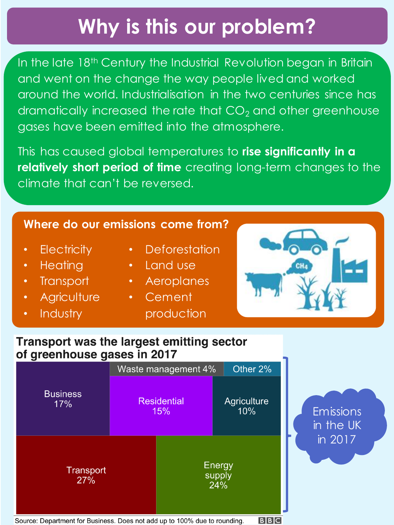# **Why is this our problem?**

In the late 18<sup>th</sup> Century the Industrial Revolution began in Britain and went on the change the way people lived and worked around the world. Industrialisation in the two centuries since has dramatically increased the rate that  $CO<sub>2</sub>$  and other greenhouse gases have been emitted into the atmosphere.

This has caused global temperatures to **rise significantly in a relatively short period of time** creating long-term changes to the climate that can't be reversed.

#### **Where do our emissions come from?**

- **Electricity**
- Heating
- Transport
- **Agriculture**
- Industry
- Deforestation
- Land use
- Aeroplanes
- Cement

production



#### **Transport was the largest emitting sector** of greenhouse gases in 2017



Emissions in the UK in 2017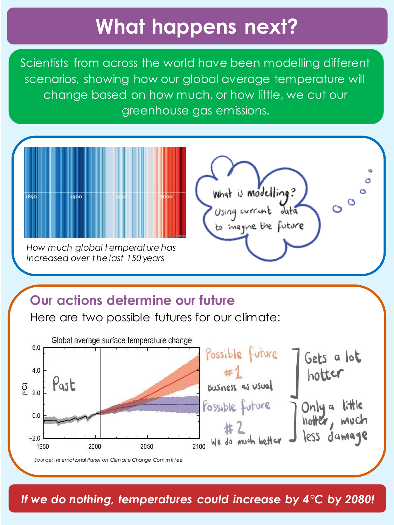## **What happens next?**

Scientists from across the world have been modelling different scenarios, showing how our global average temperature will change based on how much, or how little, we cut our greenhouse gas emissions.



### Our actions determine our future

Here are two possible futures for our climate:



If we do nothing, temperatures could increase by  $4^{\circ}$ C by 2080!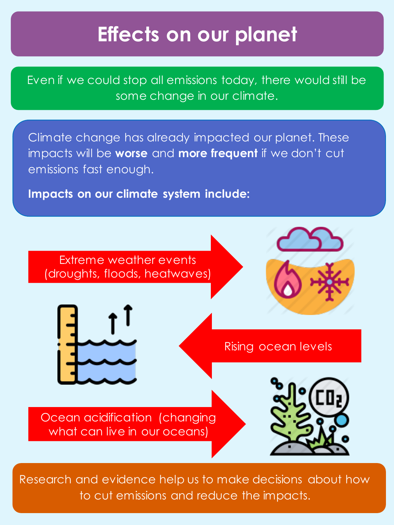### **Effects on our planet**

Even if we could stop all emissions today, there would still be some change in our climate.

Climate change has already impacted our planet. These impacts will be **worse** and **more frequent** if we don't cut emissions fast enough.

**Impacts on our climate system include:** 



Research and evidence help us to make decisions about how to cut emissions and reduce the impacts.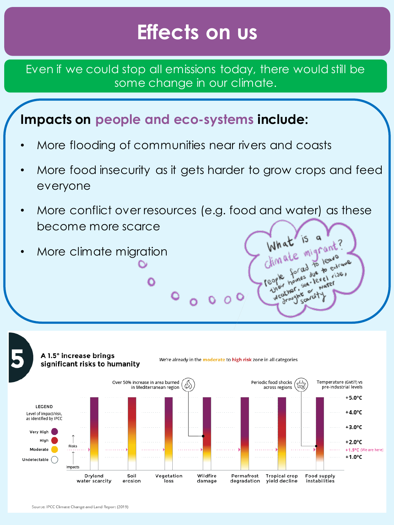### **Effects on us**

Even if we could stop all emissions today, there would still be some change in our climate.

### **Impacts on people and eco-systems include:**

Ο

- More flooding of communities near rivers and coasts
- More food insecurity as it gets harder to grow crops and feed everyone
- More conflict over resources (e.g. food and water) as these become more scarce What is a

 $\circ$   $\circ$   $\circ$   $\circ$ 

What is a nt?

ther, say<br>droughs or dt

reople,

weather.

fe migrano Sines due to extrane

les due<br>sea-level

• More climate migration